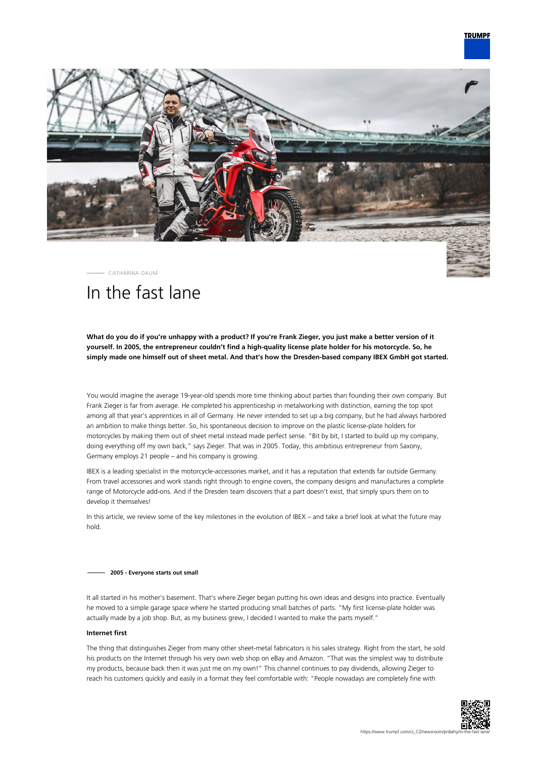



CATHARINA DAUM

# In the fast lane

**What do you do if you're unhappy with a product? If you're Frank Zieger, you just make a better version of it yourself. In 2005, the entrepreneur couldn't find a high-quality license plate holder for his motorcycle. So, he simply made one himself out of sheet metal. And that's how the Dresden-based company IBEX GmbH got started.**

You would imagine the average 19-year-old spends more time thinking about parties than founding their own company. But Frank Zieger is far from average. He completed his apprenticeship in metalworking with distinction, earning the top spot among all that year's apprentices in all of Germany. He never intended to set up a big company, but he had always harbored an ambition to make things better. So, his spontaneous decision to improve on the plastic license-plate holders for motorcycles by making them out of sheet metal instead made perfect sense. "Bit by bit, I started to build up my company, doing everything off my own back," says Zieger. That was in 2005. Today, this ambitious entrepreneur from Saxony, Germany employs 21 people – and his company is growing.

IBEX is a leading specialist in the motorcycle-accessories market, and it has a reputation that extends far outside Germany. From travel accessories and work stands right through to engine covers, the company designs and manufactures a complete range of Motorcycle add-ons. And if the Dresden team discovers that a part doesn't exist, that simply spurs them on to develop it themselves!

In this article, we review some of the key milestones in the evolution of IBEX – and take a brief look at what the future may hold.

## **2005 - Everyone starts out small**

It all started in his mother's basement. That's where Zieger began putting his own ideas and designs into practice. Eventually he moved to a simple garage space where he started producing small batches of parts. "My first license-plate holder was actually made by a job shop. But, as my business grew, I decided I wanted to make the parts myself."

## **Internet first**

The thing that distinguishes Zieger from many other sheet-metal fabricators is his sales strategy. Right from the start, he sold his products on the Internet through his very own web shop on eBay and Amazon. "That was the simplest way to distribute my products, because back then it was just me on my own!" This channel continues to pay dividends, allowing Zieger to reach his customers quickly and easily in a format they feel comfortable with: "People nowadays are completely fine with

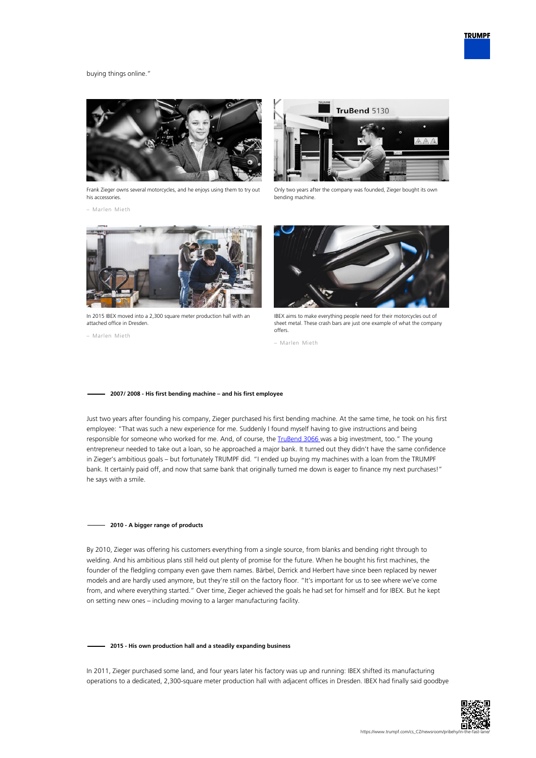

# buying things online."



Frank Zieger owns several motorcycles, and he enjoys using them to try out his accessories.

– Marlen Mieth



Only two years after the company was founded, Zieger bought its own bending machine.



In 2015 IBEX moved into a 2,300 square meter production hall with an attached office in Dresden.

– Marlen Mieth



IBEX aims to make everything people need for their motorcycles out of sheet metal. These crash bars are just one example of what the company offers.

– Marlen Mieth

#### **2007/ 2008 - His first bending machine – and his first employee**

Just two years after founding his company, Zieger purchased his first bending machine. At the same time, he took on his first employee: "That was such a new experience for me. Suddenly I found myself having to give instructions and being responsible for someone who worked for me. And, of course, the *TruBend 3066* was a big investment, too." The young entrepreneur needed to take out a loan, so he approached a major bank. It turned out they didn't have the same confidence in Zieger's ambitious goals – but fortunately TRUMPF did. "I ended up buying my machines with a loan from the TRUMPF bank. It certainly paid off, and now that same bank that originally turned me down is eager to finance my next purchases!" he says with a smile.

# **2010 - A bigger range of products**

By 2010, Zieger was offering his customers everything from a single source, from blanks and bending right through to welding. And his ambitious plans still held out plenty of promise for the future. When he bought his first machines, the founder of the fledgling company even gave them names. Bärbel, Derrick and Herbert have since been replaced by newer models and are hardly used anymore, but they're still on the factory floor. "It's important for us to see where we've come from, and where everything started." Over time, Zieger achieved the goals he had set for himself and for IBEX. But he kept on setting new ones – including moving to a larger manufacturing facility.

#### **2015 - His own production hall and a steadily expanding business**

In 2011, Zieger purchased some land, and four years later his factory was up and running: IBEX shifted its manufacturing operations to a dedicated, 2,300-square meter production hall with adjacent offices in Dresden. IBEX had finally said goodbye